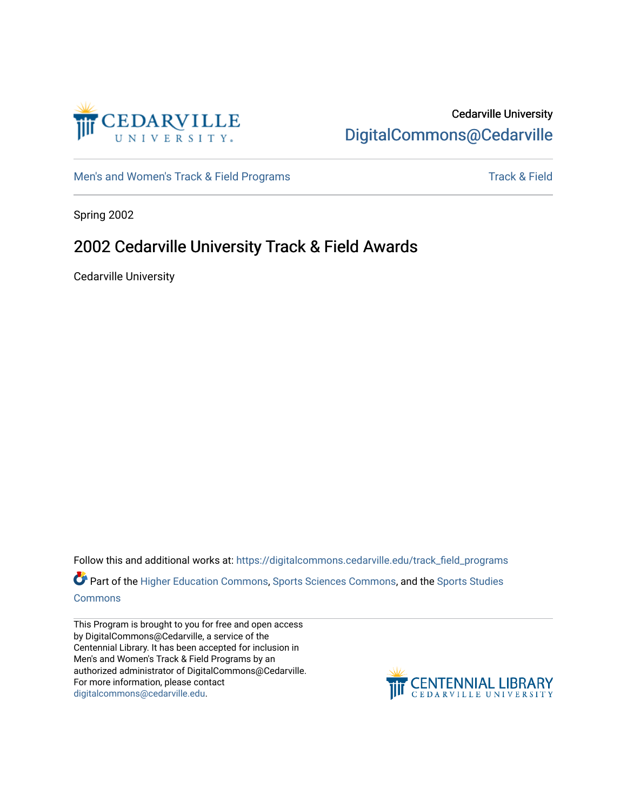

## Cedarville University [DigitalCommons@Cedarville](https://digitalcommons.cedarville.edu/)

[Men's and Women's Track & Field Programs](https://digitalcommons.cedarville.edu/track_field_programs) [Track & Field](https://digitalcommons.cedarville.edu/track_and_field) Strategies and Women's Track & Field

Spring 2002

## 2002 Cedarville University Track & Field Awards

Cedarville University

Follow this and additional works at: [https://digitalcommons.cedarville.edu/track\\_field\\_programs](https://digitalcommons.cedarville.edu/track_field_programs?utm_source=digitalcommons.cedarville.edu%2Ftrack_field_programs%2F44&utm_medium=PDF&utm_campaign=PDFCoverPages)  Part of the [Higher Education Commons,](http://network.bepress.com/hgg/discipline/1245?utm_source=digitalcommons.cedarville.edu%2Ftrack_field_programs%2F44&utm_medium=PDF&utm_campaign=PDFCoverPages) [Sports Sciences Commons,](http://network.bepress.com/hgg/discipline/759?utm_source=digitalcommons.cedarville.edu%2Ftrack_field_programs%2F44&utm_medium=PDF&utm_campaign=PDFCoverPages) and the [Sports Studies](http://network.bepress.com/hgg/discipline/1198?utm_source=digitalcommons.cedarville.edu%2Ftrack_field_programs%2F44&utm_medium=PDF&utm_campaign=PDFCoverPages)  [Commons](http://network.bepress.com/hgg/discipline/1198?utm_source=digitalcommons.cedarville.edu%2Ftrack_field_programs%2F44&utm_medium=PDF&utm_campaign=PDFCoverPages)

This Program is brought to you for free and open access by DigitalCommons@Cedarville, a service of the Centennial Library. It has been accepted for inclusion in Men's and Women's Track & Field Programs by an authorized administrator of DigitalCommons@Cedarville. For more information, please contact [digitalcommons@cedarville.edu](mailto:digitalcommons@cedarville.edu).